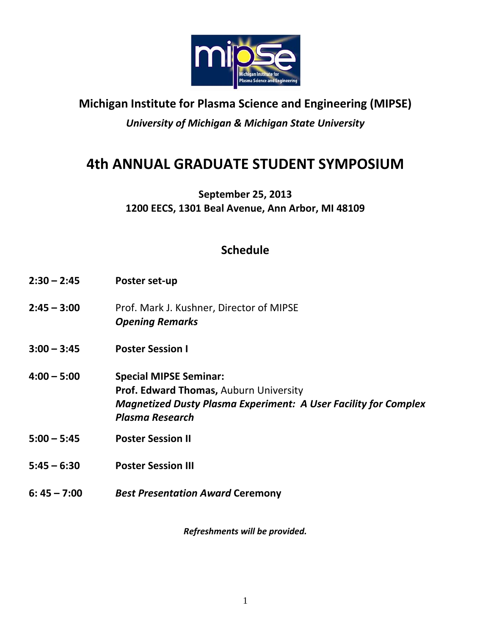

# **Michigan Institute for Plasma Science and Engineering (MIPSE)**

*University of Michigan & Michigan State University*

# **4th ANNUAL GRADUATE STUDENT SYMPOSIUM**

**September 25, 2013 1200 EECS, 1301 Beal Avenue, Ann Arbor, MI 48109**

## **Schedule**

- **2:30 – 2:45 Poster set‐up**
- **2:45 – 3:00**  Prof. Mark J. Kushner, Director of MIPSE *Opening Remarks*
- **3:00 – 3:45 Poster Session I**
- **4:00 – 5:00 Special MIPSE Seminar: Prof. Edward Thomas,** Auburn University *Magnetized Dusty Plasma Experiment: A User Facility for Complex Plasma Research*
- **5:00 – 5:45 Poster Session II**
- **5:45 – 6:30 Poster Session III**
- **6: 45 – 7:00**  *Best Presentation Award* **Ceremony**

*Refreshments will be provided.*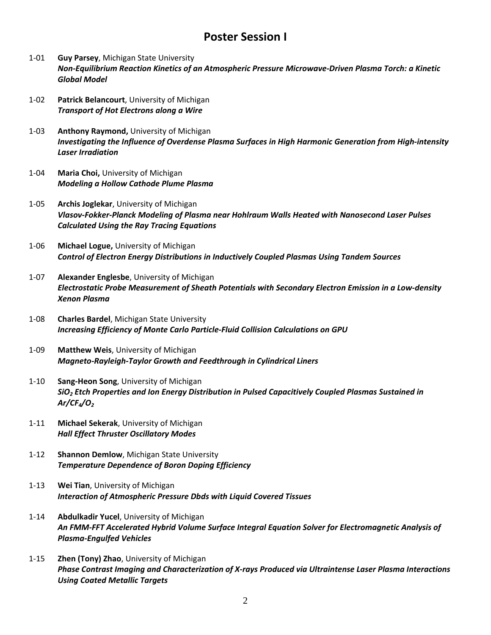#### **Poster Session I**

- 1‐01 **Guy Parsey**, Michigan State University *Non‐Equilibrium Reaction Kinetics of an Atmospheric Pressure Microwave‐Driven Plasma Torch: a Kinetic Global Model*
- 1‐02 **Patrick Belancourt**, University of Michigan *Transport of Hot Electrons along a Wire*
- 1‐03 **Anthony Raymond,** University of Michigan *Investigating the Influence of Overdense Plasma Surfaces in High Harmonic Generation from High‐intensity Laser Irradiation*
- 1‐04 **Maria Choi,** University of Michigan *Modeling a Hollow Cathode Plume Plasma*
- 1‐05 **Archis Joglekar**, University of Michigan *Vlasov‐Fokker‐Planck Modeling of Plasma near Hohlraum Walls Heated with Nanosecond Laser Pulses Calculated Using the Ray Tracing Equations*
- 1‐06 **Michael Logue,** University of Michigan *Control of Electron Energy Distributions in Inductively Coupled Plasmas Using Tandem Sources*
- 1‐07 **Alexander Englesbe**, University of Michigan *Electrostatic Probe Measurement of Sheath Potentials with Secondary Electron Emission in a Low‐density Xenon Plasma*
- 1‐08 **Charles Bardel**, Michigan State University *Increasing Efficiency of Monte Carlo Particle‐Fluid Collision Calculations on GPU*
- 1‐09 **Matthew Weis**, University of Michigan *Magneto‐Rayleigh‐Taylor Growth and Feedthrough in Cylindrical Liners*
- 1‐10 **Sang‐Heon Song**, University of Michigan *SiO2 Etch Properties and Ion Energy Distribution in Pulsed Capacitively Coupled Plasmas Sustained in Ar/CF4/O2*
- 1‐11 **Michael Sekerak**, University of Michigan *Hall Effect Thruster Oscillatory Modes*
- 1‐12 **Shannon Demlow**, Michigan State University *Temperature Dependence of Boron Doping Efficiency*
- 1‐13 **Wei Tian**, University of Michigan *Interaction of Atmospheric Pressure Dbds with Liquid Covered Tissues*
- 1‐14 **Abdulkadir Yucel**, University of Michigan *An FMM‐FFT Accelerated Hybrid Volume Surface Integral Equation Solver for Electromagnetic Analysis of Plasma‐Engulfed Vehicles*
- 1‐15 **Zhen (Tony) Zhao**, University of Michigan *Phase Contrast Imaging and Characterization of X‐rays Produced via Ultraintense Laser Plasma Interactions Using Coated Metallic Targets*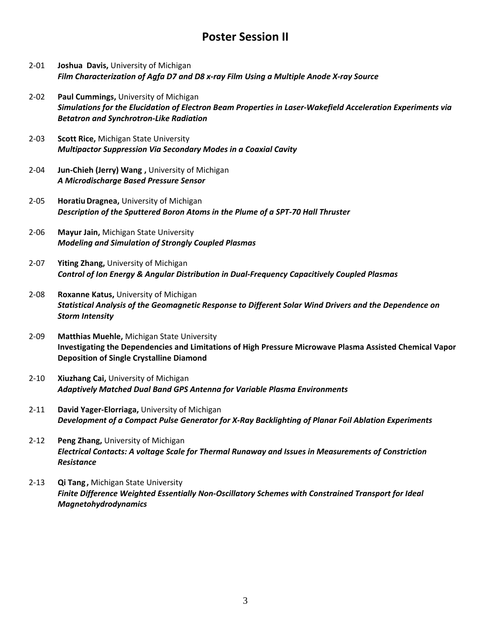## **Poster Session II**

- 2‐01 **Joshua Davis,** University of Michigan *Film Characterization of Agfa D7 and D8 x‐ray Film Using a Multiple Anode X‐ray Source*
- 2‐02 **Paul Cummings,** University of Michigan *Simulations for the Elucidation of Electron Beam Properties in Laser‐Wakefield Acceleration Experiments via Betatron and Synchrotron‐Like Radiation*
- 2‐03 **Scott Rice,** Michigan State University *Multipactor Suppression Via Secondary Modes in a Coaxial Cavity*
- 2‐04 **Jun‐Chieh (Jerry) Wang ,** University of Michigan *A Microdischarge Based Pressure Sensor*
- 2‐05 **HoratiuDragnea,** University of Michigan *Description of the Sputtered Boron Atoms in the Plume of a SPT‐70 Hall Thruster*
- 2‐06 **Mayur Jain,** Michigan State University *Modeling and Simulation of Strongly Coupled Plasmas*
- 2‐07 **Yiting Zhang,** University of Michigan *Control of Ion Energy & Angular Distribution in Dual‐Frequency Capacitively Coupled Plasmas*
- 2‐08 **Roxanne Katus,** University of Michigan *Statistical Analysis of the Geomagnetic Response to Different Solar Wind Drivers and the Dependence on Storm Intensity*
- 2‐09 **Matthias Muehle,** Michigan State University **Investigating the Dependencies and Limitations of High Pressure Microwave Plasma Assisted Chemical Vapor Deposition of Single Crystalline Diamond**
- 2‐10 **Xiuzhang Cai,** University of Michigan *Adaptively Matched Dual Band GPS Antenna for Variable Plasma Environments*
- 2‐11 **David Yager‐Elorriaga,** University of Michigan *Development of a Compact Pulse Generator for X‐Ray Backlighting of Planar Foil Ablation Experiments*
- 2‐12 **Peng Zhang,** University of Michigan *Electrical Contacts: A voltage Scale for Thermal Runaway and Issues in Measurements of Constriction Resistance*
- 2‐13 **Qi Tang ,** Michigan State University *Finite Difference Weighted Essentially Non‐Oscillatory Schemes with Constrained Transport for Ideal Magnetohydrodynamics*